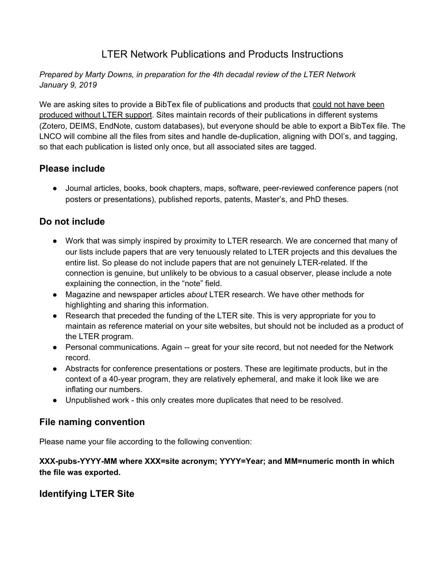## LTER Network Publications and Products Instructions

#### *Prepared by Marty Downs, in preparation for the 4th decadal review of the LTER Network January 9, 2019*

We are asking sites to provide a BibTex file of publications and products that could not have been produced without LTER support. Sites maintain records of their publications in different systems (Zotero, DEIMS, EndNote, custom databases), but everyone should be able to export a BibTex file. The LNCO will combine all the files from sites and handle de-duplication, aligning with DOI's, and tagging, so that each publication is listed only once, but all associated sites are tagged.

## **Please include**

● Journal articles, books, book chapters, maps, software, peer-reviewed conference papers (not posters or presentations), published reports, patents, Master's, and PhD theses.

## **Do not include**

- Work that was simply inspired by proximity to LTER research. We are concerned that many of our lists include papers that are very tenuously related to LTER projects and this devalues the entire list. So please do not include papers that are not genuinely LTER-related. If the connection is genuine, but unlikely to be obvious to a casual observer, please include a note explaining the connection, in the "note" field.
- Magazine and newspaper articles *about* LTER research. We have other methods for highlighting and sharing this information.
- Research that preceded the funding of the LTER site. This is very appropriate for you to maintain as reference material on your site websites, but should not be included as a product of the LTER program.
- Personal communications. Again -- great for your site record, but not needed for the Network record.
- Abstracts for conference presentations or posters. These are legitimate products, but in the context of a 40-year program, they are relatively ephemeral, and make it look like we are inflating our numbers.
- Unpublished work this only creates more duplicates that need to be resolved.

## **File naming convention**

Please name your file according to the following convention:

#### **XXX-pubs-YYYY-MM where XXX=site acronym; YYYY=Year; and MM=numeric month in which the file was exported.**

## **Identifying LTER Site**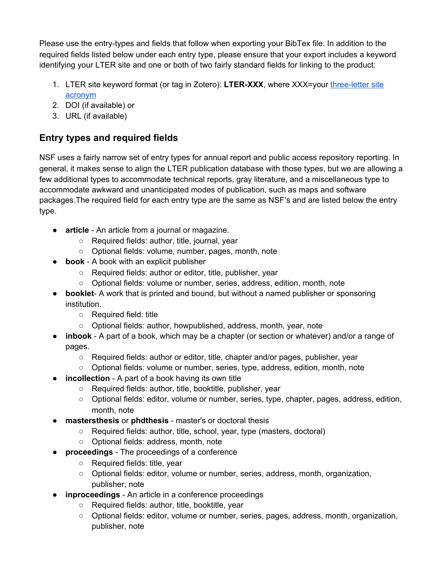Please use the entry-types and fields that follow when exporting your BibTex file. In addition to the required fields listed below under each entry type, please ensure that your export includes a keyword identifying your LTER site and one or both of two fairly standard fields for linking to the product:

- 1. LTER site keyword format (or tag in Zotero): **LTER-XXX**, where XXX=your [three-letter](https://lternet.edu/site/) site [acronym](https://lternet.edu/site/)
- 2. DOI (if available) or
- 3. URL (if available)

# **Entry types and required fields**

NSF uses a fairly narrow set of entry types for annual report and public access repository reporting. In general, it makes sense to align the LTER publication database with those types, but we are allowing a few additional types to accommodate technical reports, gray literature, and a miscellaneous type to accommodate awkward and unanticipated modes of publication, such as maps and software packages.The required field for each entry type are the same as NSF's and are listed below the entry type.

- **article** An article from a journal or magazine.
	- Required fields: author, title, journal, year
	- Optional fields: volume, number, pages, month, note
- **book** A book with an explicit publisher
	- Required fields: author or editor, title, publisher, year
	- Optional fields: volume or number, series, address, edition, month, note
- **booklet** A work that is printed and bound, but without a named publisher or sponsoring institution.
	- Required field: title
	- Optional fields: author, howpublished, address, month, year, note
- **inbook** A part of a book, which may be a chapter (or section or whatever) and/or a range of pages.
	- Required fields: author or editor, title, chapter and/or pages, publisher, year
	- Optional fields: volume or number, series, type, address, edition, month, note
- **incollection** A part of a book having its own title
	- Required fields: author, title, booktitle, publisher, year
	- Optional fields: editor, volume or number, series, type, chapter, pages, address, edition, month, note
- **mastersthesis** or **phdthesis** master's or doctoral thesis
	- Required fields: author, title, school, year, type (masters, doctoral)
	- Optional fields: address, month, note
- **proceedings** The proceedings of a conference
	- Required fields: title, year
	- Optional fields: editor, volume or number, series, address, month, organization, publisher, note
- **inproceedings** An article in a conference proceedings
	- Required fields: author, title, booktitle, year
	- Optional fields: editor, volume or number, series, pages, address, month, organization, publisher, note